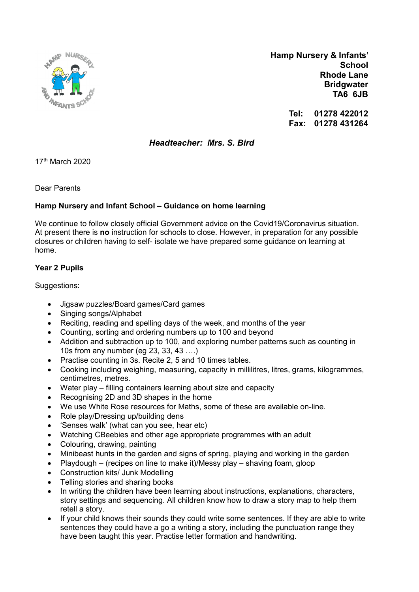

 Hamp Nursery & Infants' **School** Rhode Lane **Bridgwater** TA6 6JB

> Tel: 01278 422012 Fax: 01278 431264

Headteacher: Mrs. S. Bird

17th March 2020

Dear Parents

## Hamp Nursery and Infant School – Guidance on home learning

We continue to follow closely official Government advice on the Covid19/Coronavirus situation. At present there is no instruction for schools to close. However, in preparation for any possible closures or children having to self- isolate we have prepared some guidance on learning at home.

## Year 2 Pupils

Suggestions:

- Jigsaw puzzles/Board games/Card games
- Singing songs/Alphabet
- Reciting, reading and spelling days of the week, and months of the year
- Counting, sorting and ordering numbers up to 100 and beyond
- Addition and subtraction up to 100, and exploring number patterns such as counting in 10s from any number (eg 23, 33, 43 ….)
- Practise counting in 3s. Recite 2, 5 and 10 times tables.
- Cooking including weighing, measuring, capacity in millilitres, litres, grams, kilogrammes, centimetres, metres.
- Water play filling containers learning about size and capacity
- Recognising 2D and 3D shapes in the home
- We use White Rose resources for Maths, some of these are available on-line.
- Role play/Dressing up/building dens
- 'Senses walk' (what can you see, hear etc)
- Watching CBeebies and other age appropriate programmes with an adult
- Colouring, drawing, painting
- Minibeast hunts in the garden and signs of spring, playing and working in the garden
- Playdough (recipes on line to make it)/Messy play shaving foam, gloop
- Construction kits/ Junk Modelling
- Telling stories and sharing books
- In writing the children have been learning about instructions, explanations, characters, story settings and sequencing. All children know how to draw a story map to help them retell a story.
- If your child knows their sounds they could write some sentences. If they are able to write sentences they could have a go a writing a story, including the punctuation range they have been taught this year. Practise letter formation and handwriting.